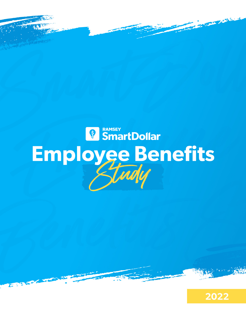

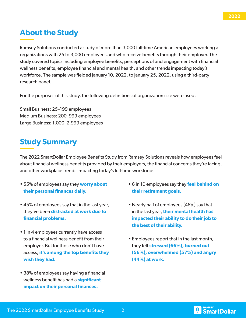## **About the Study**

Ramsey Solutions conducted a study of more than 3,000 full-time American employees working at organizations with 25 to 3,000 employees and who receive benefits through their employer. The study covered topics including employee benefits, perceptions of and engagement with financial wellness benefits, employee financial and mental health, and other trends impacting today's workforce. The sample was fielded January 10, 2022, to January 25, 2022, using a third-party research panel.

For the purposes of this study, the following definitions of organization size were used:

Small Business: 25–199 employees Medium Business: 200–999 employees Large Business: 1,000–2,999 employees

## **Study Summary**

The 2022 SmartDollar Employee Benefits Study from Ramsey Solutions reveals how employees feel about financial wellness benefits provided by their employers, the financial concerns they're facing, and other workplace trends impacting today's full-time workforce.

- 55% of employees say they **worry about their personal finances daily.**
- 45% of employees say that in the last year, they've been **distracted at work due to financial problems.**
- 1 in 4 employees currently have access to a financial wellness benefit from their employer. But for those who don't have access, **it's among the top benefits they wish they had.**
- 38% of employees say having a financial wellness benefit has had a **significant impact on their personal finances.**
- 6 in 10 employees say they **feel behind on their retirement goals.**
- Nearly half of employees (46%) say that in the last year, **their mental health has impacted their ability to do their job to the best of their ability.**
- Employees report that in the last month, they felt **stressed (66%), burned out (56%), overwhelmed (57%) and angry (44%) at work.**

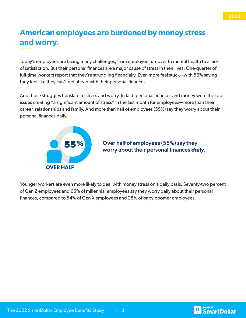## **American employees are burdened by money stress and worry.**

Today's employees are facing many challenges, from employee turnover to mental health to a lack of satisfaction. But their personal finances are a major cause of stress in their lives. One-quarter of full-time workers report that they're struggling financially. Even more feel stuck—with 56% saying they feel like they can't get ahead with their personal finances.

And those struggles translate to stress and worry. In fact, personal finances and money were the top issues creating "a significant amount of stress" in the last month for employees—more than their career, relationships and family. And more than half of employees (55%) say they worry about their personal finances daily.



#### Over half of employees (55%) say they worry about their personal finances *daily.*

Younger workers are even more likely to deal with money stress on a daily basis. Seventy-two percent of Gen Z employees and 65% of millennial employees say they worry daily about their personal finances, compared to 54% of Gen X employees and 28% of baby boomer employees.



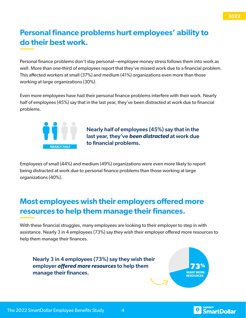## **Personal finance problems hurt employees' ability to do their best work.**

Personal finance problems don't stay personal—employee money stress follows them into work as well. More than one-third of employees report that they've missed work due to a financial problem. This affected workers at small (37%) and medium (41%) organizations even more than those working at large organizations (30%).

Even more employees have had their personal finance problems interfere with their work. Nearly half of employees (45%) say that in the last year, they've been distracted at work due to financial problems.



Nearly half of employees (45%) say that in the last year, they've *been distracted* at work due to financial problems.

Employees of small (44%) and medium (49%) organizations were even more likely to report being distracted at work due to personal finance problems than those working at large organizations (40%).

## **Most employees wish their employers offered more resources to help them manage their finances.**

With these financial struggles, many employees are looking to their employer to step in with assistance. Nearly 3 in 4 employees (73%) say they wish their employer offered more resources to help them manage their finances.

Nearly 3 in 4 employees (73%) say they wish their employer *offered more resources* to help them manage their finances.





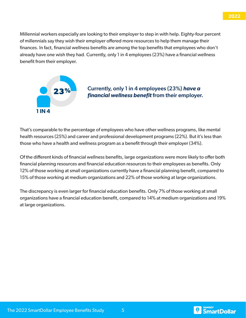Millennial workers especially are looking to their employer to step in with help. Eighty-four percent of millennials say they wish their employer offered more resources to help them manage their finances. In fact, financial wellness benefits are among the top benefits that employees who don't already have one wish they had. Currently, only 1 in 4 employees (23%) have a financial wellness benefit from their employer.



### Currently, only 1 in 4 employees (23%) *have a financial wellness benefit* from their employer. **23%**

That's comparable to the percentage of employees who have other wellness programs, like mental health resources (25%) and career and professional development programs (22%). But it's less than those who have a health and wellness program as a benefit through their employer (34%).

Of the different kinds of financial wellness benefits, large organizations were more likely to offer both financial planning resources and financial education resources to their employees as benefits. Only 12% of those working at small organizations currently have a financial planning benefit, compared to 15% of those working at medium organizations and 22% of those working at large organizations.

The discrepancy is even larger for financial education benefits. Only 7% of those working at small organizations have a financial education benefit, compared to 14% at medium organizations and 19% at large organizations.



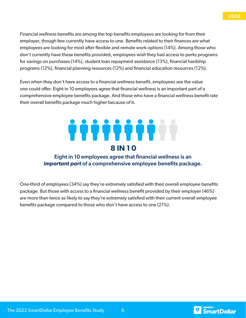Financial wellness benefits are among the top benefits employees are looking for from their employer, though few currently have access to one. Benefits related to their finances are what employees are looking for most after flexible and remote work options (14%). Among those who don't currently have these benefits provided, employees wish they had access to perks programs for savings on purchases (14%), student loan repayment assistance (13%), financial hardship programs (12%), financial planning resources (12%) and financial education resources (12%).

Even when they don't have access to a financial wellness benefit, employees see the value one could offer. Eight in 10 employees agree that financial wellness is an important part of a comprehensive employee benefits package. And those who have a financial wellness benefit rate their overall benefits package much higher because of it.

# **8 IN 1 0**

### Eight in 10 employees agree that financial wellness is an *important part* of a comprehensive employee benefits package.

One-third of employees (34%) say they're extremely satisfied with their overall employee benefits package. But those with access to a financial wellness benefit provided by their employer (46%) are more than twice as likely to say they're extremely satisfied with their current overall employee benefits package compared to those who don't have access to one (21%).



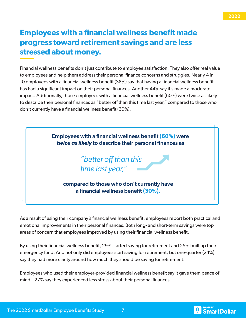## **Employees with a financial wellness benefit made progress toward retirement savings and are less stressed about money.**

Financial wellness benefits don't just contribute to employee satisfaction. They also offer real value to employees and help them address their personal finance concerns and struggles. Nearly 4 in 10 employees with a financial wellness benefit (38%) say that having a financial wellness benefit has had a significant impact on their personal finances. Another 44% say it's made a moderate impact. Additionally, those employees with a financial wellness benefit (60%) were twice as likely to describe their personal finances as "better off than this time last year," compared to those who don't currently have a financial wellness benefit (30%).



As a result of using their company's financial wellness benefit, employees report both practical and emotional improvements in their personal finances. Both long- and short-term savings were top areas of concern that employees improved by using their financial wellness benefit.

By using their financial wellness benefit, 29% started saving for retirement and 25% built up their emergency fund. And not only did employees start saving for retirement, but one-quarter (24%) say they had more clarity around how much they should be saving for retirement.

Employees who used their employer-provided financial wellness benefit say it gave them peace of mind—27% say they experienced less stress about their personal finances.

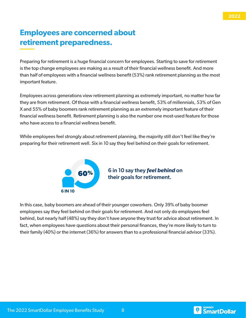#### **2022**

## **Employees are concerned about retirement preparedness.**

Preparing for retirement is a huge financial concern for employees. Starting to save for retirement is the top change employees are making as a result of their financial wellness benefit. And more than half of employees with a financial wellness benefit (53%) rank retirement planning as the most important feature.

Employees across generations view retirement planning as extremely important, no matter how far they are from retirement. Of those with a financial wellness benefit, 53% of millennials, 53% of Gen X and 55% of baby boomers rank retirement planning as an extremely important feature of their financial wellness benefit. Retirement planning is also the number one most-used feature for those who have access to a financial wellness benefit.

While employees feel strongly about retirement planning, the majority still don't feel like they're preparing for their retirement well. Six in 10 say they feel behind on their goals for retirement.



**60%** 6 in 10 say they *feel behind* on their goals for retirement.

In this case, baby boomers are ahead of their younger coworkers. Only 39% of baby boomer employees say they feel behind on their goals for retirement. And not only do employees feel behind, but nearly half (48%) say they don't have anyone they trust for advice about retirement. In fact, when employees have questions about their personal finances, they're more likely to turn to their family (40%) or the internet (36%) for answers than to a professional financial advisor (33%).

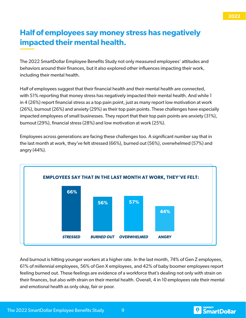## **Half of employees say money stress has negatively impacted their mental health.**

The 2022 SmartDollar Employee Benefits Study not only measured employees' attitudes and behaviors around their finances, but it also explored other influences impacting their work, including their mental health.

Half of employees suggest that their financial health and their mental health are connected, with 51% reporting that money stress has negatively impacted their mental health. And while 1 in 4 (26%) report financial stress as a top pain point, just as many report low motivation at work (26%), burnout (26%) and anxiety (29%) as their top pain points. These challenges have especially impacted employees of small businesses. They report that their top pain points are anxiety (31%), burnout (29%), financial stress (28%) and low motivation at work (25%).

Employees across generations are facing these challenges too. A significant number say that in the last month at work, they've felt stressed (66%), burned out (56%), overwhelmed (57%) and angry (44%).



And burnout is hitting younger workers at a higher rate. In the last month, 74% of Gen Z employees, 61% of millennial employees, 56% of Gen X employees, and 42% of baby boomer employees report feeling burned out. These feelings are evidence of a workforce that's dealing not only with strain on their finances, but also with strain on their mental health. Overall, 4 in 10 employees rate their mental and emotional health as only okay, fair or poor.